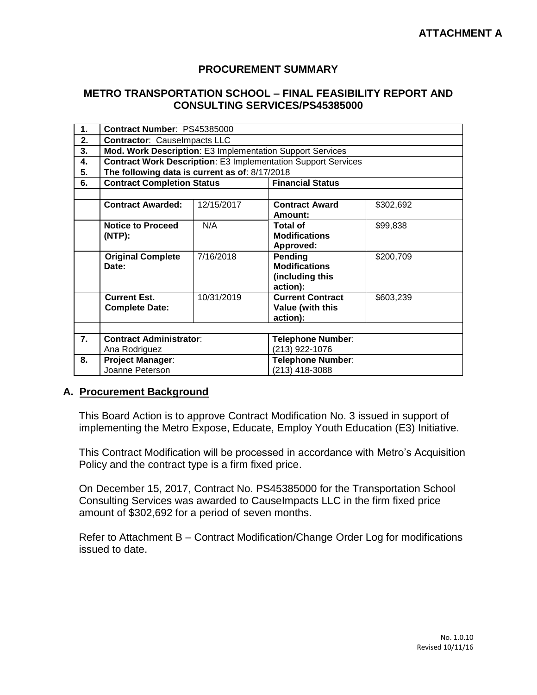## **PROCUREMENT SUMMARY**

## **METRO TRANSPORTATION SCHOOL – FINAL FEASIBILITY REPORT AND CONSULTING SERVICES/PS45385000**

| 1. | Contract Number: PS45385000                                          |            |                             |           |  |
|----|----------------------------------------------------------------------|------------|-----------------------------|-----------|--|
| 2. | <b>Contractor: CauseImpacts LLC</b>                                  |            |                             |           |  |
| 3. | Mod. Work Description: E3 Implementation Support Services            |            |                             |           |  |
| 4. | <b>Contract Work Description: E3 Implementation Support Services</b> |            |                             |           |  |
| 5. | The following data is current as of: 8/17/2018                       |            |                             |           |  |
| 6. | <b>Contract Completion Status</b>                                    |            | <b>Financial Status</b>     |           |  |
|    |                                                                      |            |                             |           |  |
|    | <b>Contract Awarded:</b>                                             | 12/15/2017 | <b>Contract Award</b>       | \$302,692 |  |
|    |                                                                      |            | Amount:                     |           |  |
|    | <b>Notice to Proceed</b>                                             | N/A        | <b>Total of</b>             | \$99,838  |  |
|    | (NTP):                                                               |            | <b>Modifications</b>        |           |  |
|    |                                                                      |            | Approved:                   |           |  |
|    | <b>Original Complete</b>                                             | 7/16/2018  | Pending                     | \$200,709 |  |
|    | Date:                                                                |            | <b>Modifications</b>        |           |  |
|    |                                                                      |            | (including this<br>action): |           |  |
|    | <b>Current Est.</b>                                                  | 10/31/2019 | <b>Current Contract</b>     | \$603,239 |  |
|    | <b>Complete Date:</b>                                                |            | Value (with this            |           |  |
|    |                                                                      |            | action):                    |           |  |
|    |                                                                      |            |                             |           |  |
| 7. | <b>Contract Administrator:</b>                                       |            | Telephone Number:           |           |  |
|    | Ana Rodriguez                                                        |            | (213) 922-1076              |           |  |
| 8. | <b>Project Manager:</b>                                              |            | Telephone Number:           |           |  |
|    | Joanne Peterson                                                      |            | (213) 418-3088              |           |  |

## **A. Procurement Background**

This Board Action is to approve Contract Modification No. 3 issued in support of implementing the Metro Expose, Educate, Employ Youth Education (E3) Initiative.

This Contract Modification will be processed in accordance with Metro's Acquisition Policy and the contract type is a firm fixed price.

On December 15, 2017, Contract No. PS45385000 for the Transportation School Consulting Services was awarded to CauseImpacts LLC in the firm fixed price amount of \$302,692 for a period of seven months.

Refer to Attachment B – Contract Modification/Change Order Log for modifications issued to date.